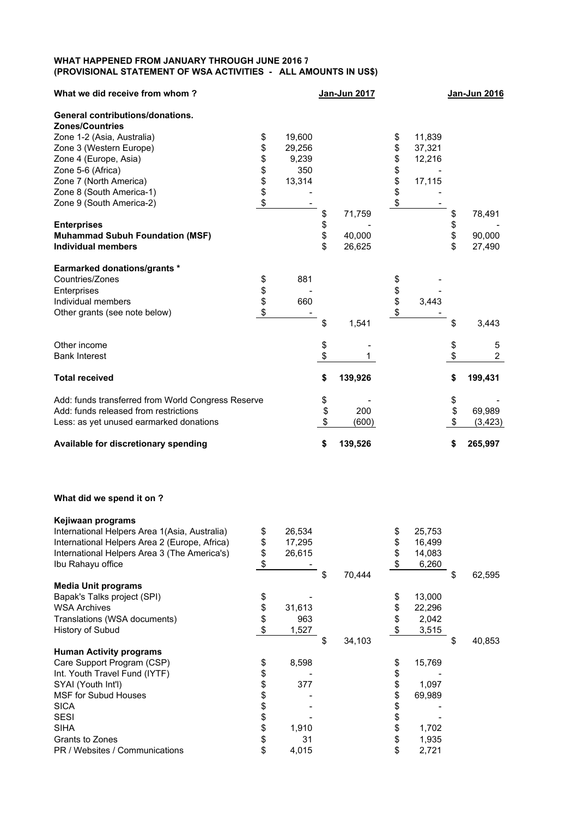## **WHAT HAPPENED FROM JANUARY THROUGH JUNE 2016 7 (PROVISIONAL STATEMENT OF WSA ACTIVITIES - ALL AMOUNTS IN US\$)**

| What we did receive from whom?                     |              | Jan-Jun 2017  |              | Jan-Jun 2016   |
|----------------------------------------------------|--------------|---------------|--------------|----------------|
| General contributions/donations.                   |              |               |              |                |
| <b>Zones/Countries</b>                             |              |               |              |                |
| Zone 1-2 (Asia, Australia)                         | \$<br>19,600 |               | \$<br>11,839 |                |
| Zone 3 (Western Europe)                            | \$<br>29,256 |               | \$<br>37,321 |                |
| Zone 4 (Europe, Asia)                              | \$<br>9,239  |               | \$<br>12,216 |                |
| Zone 5-6 (Africa)                                  | \$<br>350    |               | \$           |                |
| Zone 7 (North America)                             | \$<br>13,314 |               | \$<br>17,115 |                |
| Zone 8 (South America-1)                           | \$           |               | \$           |                |
| Zone 9 (South America-2)                           | \$           |               | \$           |                |
|                                                    |              | \$<br>71,759  |              | \$<br>78,491   |
| <b>Enterprises</b>                                 |              | \$            |              |                |
| <b>Muhammad Subuh Foundation (MSF)</b>             |              | \$<br>40,000  |              | \$<br>90,000   |
| <b>Individual members</b>                          |              | \$<br>26,625  |              | \$<br>27,490   |
| <b>Earmarked donations/grants *</b>                |              |               |              |                |
| Countries/Zones                                    | \$<br>881    |               | \$           |                |
| Enterprises                                        | \$           |               | \$           |                |
| Individual members                                 | \$<br>660    |               | \$<br>3,443  |                |
| Other grants (see note below)                      | \$           |               | \$           |                |
|                                                    |              | \$<br>1,541   |              | \$<br>3,443    |
| Other income                                       |              | \$            |              | \$<br>5        |
| <b>Bank Interest</b>                               |              | \$            |              | $\overline{2}$ |
| <b>Total received</b>                              |              | \$<br>139,926 |              | \$<br>199,431  |
| Add: funds transferred from World Congress Reserve |              | \$            |              | \$             |
| Add: funds released from restrictions              |              | \$<br>200     |              | \$<br>69,989   |
| Less: as yet unused earmarked donations            |              | \$<br>(600)   |              | \$<br>(3, 423) |
| Available for discretionary spending               |              | \$<br>139,526 |              | \$<br>265,997  |

## **What did we spend it on ?**

| Kejiwaan programs                             |              |              |              |              |
|-----------------------------------------------|--------------|--------------|--------------|--------------|
| International Helpers Area 1(Asia, Australia) | \$<br>26,534 |              | \$<br>25,753 |              |
| International Helpers Area 2 (Europe, Africa) | \$<br>17,295 |              | \$<br>16,499 |              |
| International Helpers Area 3 (The America's)  | \$<br>26,615 |              | \$<br>14,083 |              |
| Ibu Rahayu office                             | \$           |              | \$<br>6,260  |              |
|                                               |              | \$<br>70,444 |              | \$<br>62,595 |
| <b>Media Unit programs</b>                    |              |              |              |              |
| Bapak's Talks project (SPI)                   | \$           |              | \$<br>13,000 |              |
| <b>WSA Archives</b>                           | \$<br>31,613 |              | \$<br>22,296 |              |
| Translations (WSA documents)                  | \$<br>963    |              | \$<br>2,042  |              |
| History of Subud                              | \$<br>1,527  |              | 3,515        |              |
|                                               |              | \$<br>34,103 |              | \$<br>40,853 |
| <b>Human Activity programs</b>                |              |              |              |              |
| Care Support Program (CSP)                    | \$<br>8,598  |              | \$<br>15,769 |              |
|                                               |              |              |              |              |
| Int. Youth Travel Fund (IYTF)                 | \$           |              | \$           |              |
| SYAI (Youth Int'l)                            | \$<br>377    |              | \$<br>1,097  |              |
| <b>MSF for Subud Houses</b>                   | \$           |              | \$<br>69,989 |              |
| <b>SICA</b>                                   | \$           |              | \$           |              |
| <b>SESI</b>                                   | \$           |              | \$           |              |
| <b>SIHA</b>                                   | \$<br>1,910  |              | \$<br>1,702  |              |
| Grants to Zones                               | \$<br>31     |              | \$<br>1,935  |              |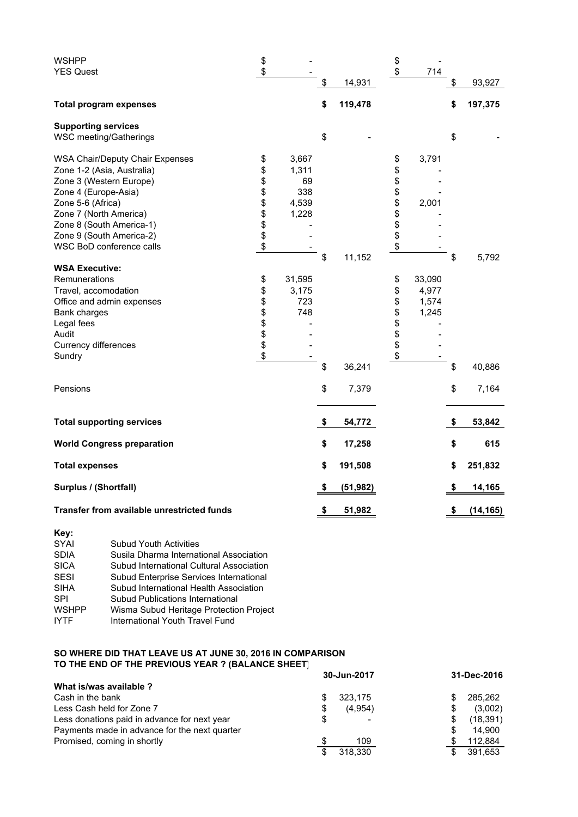| <b>WSHPP</b>                               | \$       |        |                 | \$           |                 |
|--------------------------------------------|----------|--------|-----------------|--------------|-----------------|
| <b>YES Quest</b>                           | \$       |        | \$<br>14,931    | \$<br>714    | \$<br>93,927    |
|                                            |          |        |                 |              |                 |
| <b>Total program expenses</b>              |          |        | \$<br>119,478   |              | \$<br>197,375   |
| <b>Supporting services</b>                 |          |        |                 |              |                 |
| WSC meeting/Gatherings                     |          |        | \$              |              | \$              |
| WSA Chair/Deputy Chair Expenses            | \$       | 3,667  |                 | \$<br>3,791  |                 |
| Zone 1-2 (Asia, Australia)                 | \$       | 1,311  |                 | \$           |                 |
| Zone 3 (Western Europe)                    | \$       | 69     |                 | \$           |                 |
| Zone 4 (Europe-Asia)                       | \$       | 338    |                 | \$           |                 |
| Zone 5-6 (Africa)                          | \$       | 4,539  |                 | \$<br>2,001  |                 |
| Zone 7 (North America)                     | \$       | 1,228  |                 | \$           |                 |
| Zone 8 (South America-1)                   |          |        |                 |              |                 |
| Zone 9 (South America-2)                   | \$<br>\$ |        |                 | \$           |                 |
| WSC BoD conference calls                   | \$       |        |                 | \$           |                 |
|                                            |          |        | \$<br>11,152    |              | \$<br>5,792     |
| <b>WSA Executive:</b>                      |          |        |                 |              |                 |
| Remunerations                              | \$       | 31,595 |                 | \$<br>33,090 |                 |
| Travel, accomodation                       | \$       | 3,175  |                 | \$<br>4,977  |                 |
| Office and admin expenses                  | \$       | 723    |                 | \$<br>1,574  |                 |
| Bank charges                               | \$       | 748    |                 | \$<br>1,245  |                 |
| Legal fees                                 | \$       |        |                 | \$           |                 |
| Audit                                      | \$       |        |                 | \$           |                 |
| <b>Currency differences</b>                | \$       |        |                 | \$           |                 |
| Sundry                                     | \$       |        |                 | \$           |                 |
|                                            |          |        | \$<br>36,241    |              | \$<br>40,886    |
|                                            |          |        |                 |              |                 |
| Pensions                                   |          |        | \$<br>7,379     |              | \$<br>7,164     |
| <b>Total supporting services</b>           |          |        | \$<br>54,772    |              | \$<br>53,842    |
|                                            |          |        |                 |              |                 |
| <b>World Congress preparation</b>          |          |        | \$<br>17,258    |              | \$<br>615       |
| <b>Total expenses</b>                      |          |        | \$<br>191,508   |              | \$<br>251,832   |
| Surplus / (Shortfall)                      |          |        | \$<br>(51, 982) |              | \$<br>14,165    |
| Transfer from available unrestricted funds |          |        | \$<br>51,982    |              | \$<br>(14, 165) |

| Key:         |                                          |
|--------------|------------------------------------------|
| SYAI         | <b>Subud Youth Activities</b>            |
| <b>SDIA</b>  | Susila Dharma International Association  |
| <b>SICA</b>  | Subud International Cultural Association |
| <b>SESI</b>  | Subud Enterprise Services International  |
| <b>SIHA</b>  | Subud International Health Association   |
| <b>SPI</b>   | Subud Publications International         |
| <b>WSHPP</b> | Wisma Subud Heritage Protection Project  |
| IYTF         | International Youth Travel Fund          |

## **SO WHERE DID THAT LEAVE US AT JUNE 30, 2016 IN COMPARISON TO THE END OF THE PREVIOUS YEAR ? (BALANCE SHEET)**

|                                               | 30-Jun-2017   | 31-Dec-2016   |
|-----------------------------------------------|---------------|---------------|
| What is/was available ?                       |               |               |
| Cash in the bank                              | 323.175       | 285.262       |
| Less Cash held for Zone 7                     | (4,954)<br>\$ | (3,002)<br>S  |
| Less donations paid in advance for next year  | \$            | (18,391)<br>S |
| Payments made in advance for the next quarter |               | 14.900<br>\$. |
| Promised, coming in shortly                   | 109<br>\$     | 112,884       |
|                                               | 318.330       | 391.653       |